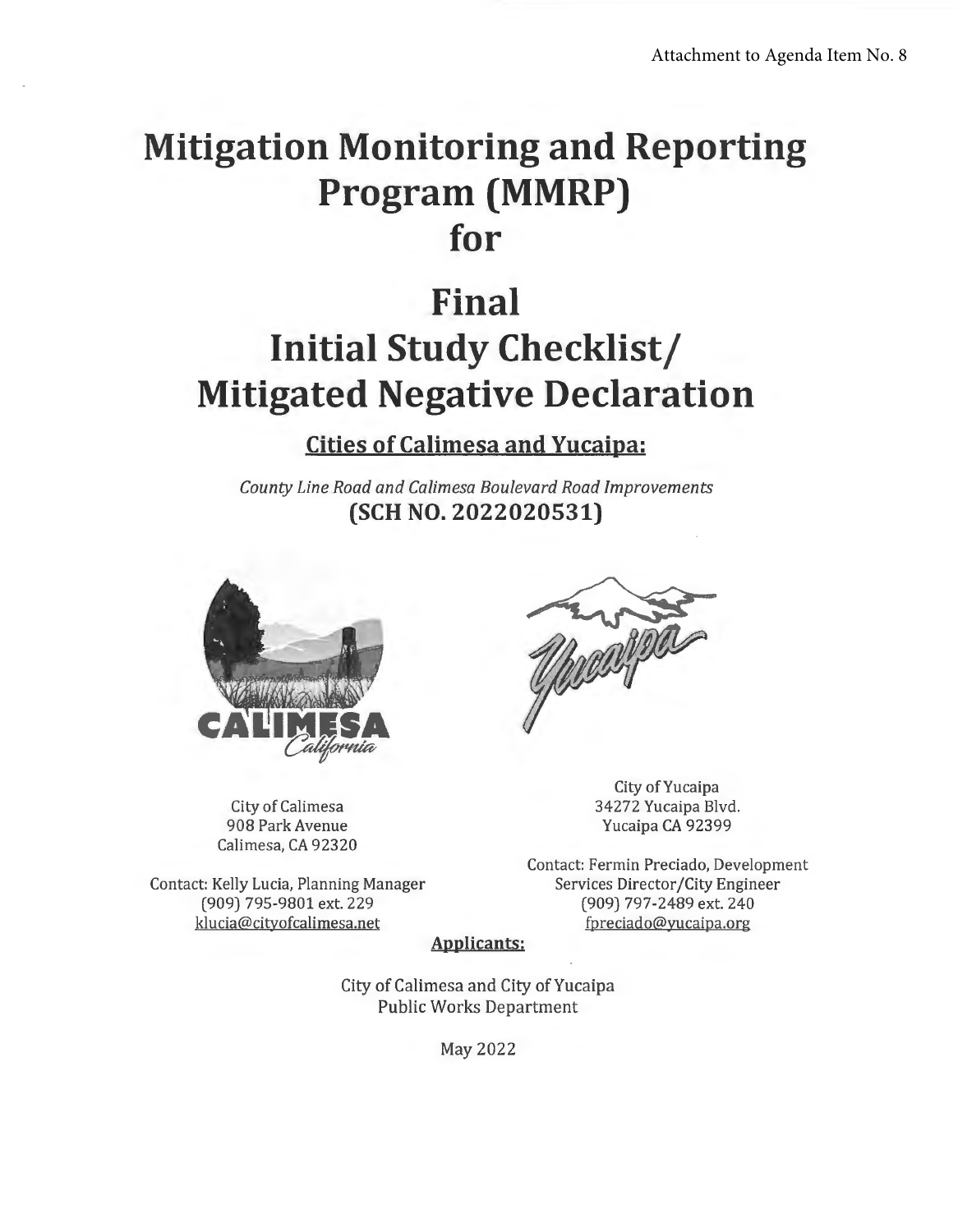## **Mitigation Monitoring and Reporting Program (MMRP) for**

# **Final Initial Study Checklist/ Mitigated Negative Declaration**

**Cities of Calimesa and Yucaipa:** 

*County line Road and Calimesa Boulevard Road Improvements*  **(SCH NO. 2022020531)** 



City of Calimesa 908 Park Avenue Calimesa, CA 92320

Contact: Kelly Lucia, Planning Manager (909) 795-9801 ext. 229 klucia@cityofcalimesa.net



City of Yucaipa 34272 Yucaipa Blvd. Yucaipa CA 92399

Contact: Fermin Preciado, Development Services Director/City Engineer (909) 797-2489 ext. 240 fpreciado@yucaipa.org

**Applicants:** 

City of Calimesa and City of Yucaipa Public Works Department

May 2022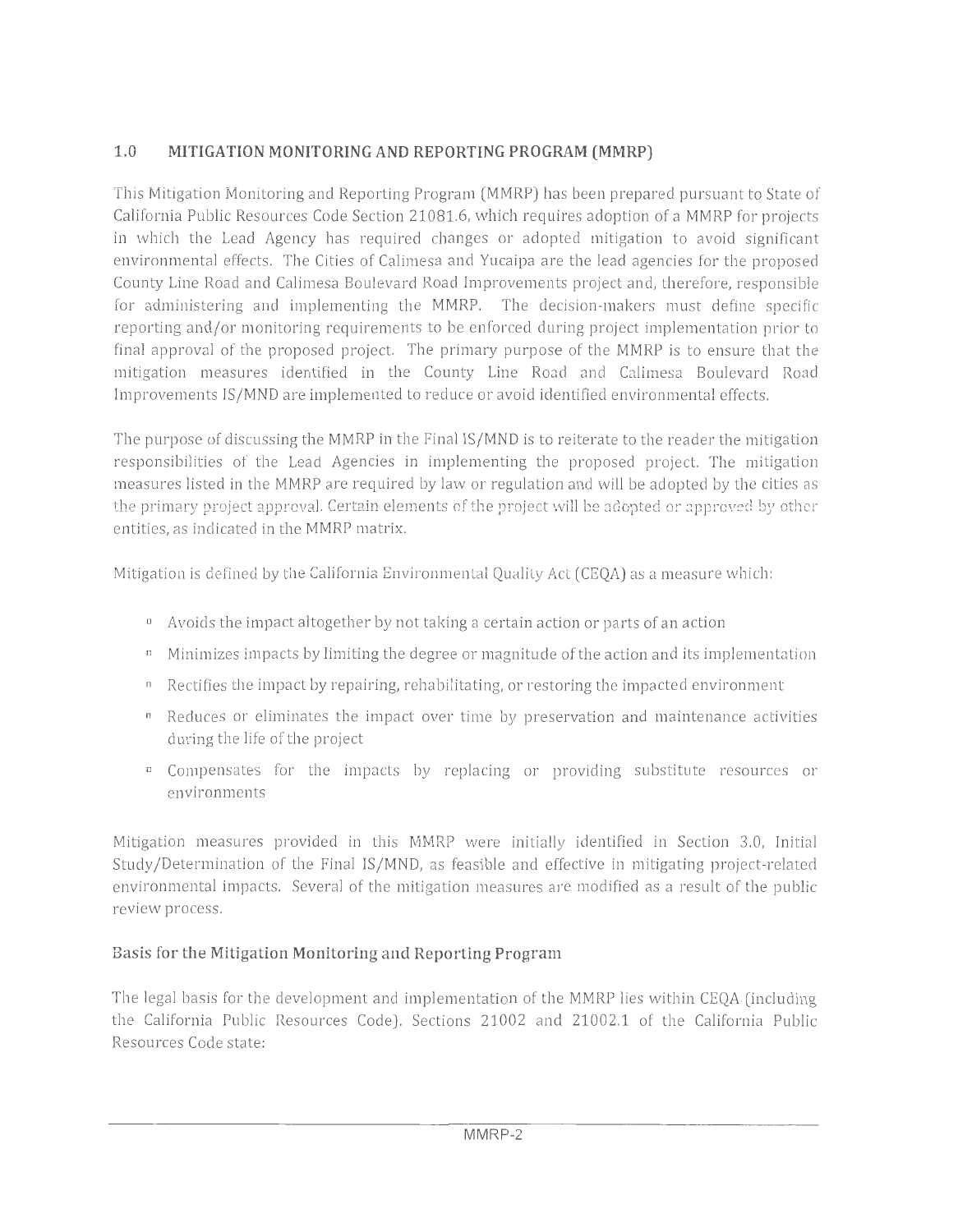## **1.0 MITIGATION MONITORING AND REPORTING PROGRAM (MMRP)**

This Mitigation Monitoring and Reporting Program (MMRP) has been prepared pursuant to State of California Public Resources Code Section 21081.6, which requires adoption of a MMRP for projects in which the Lead Agency has required changes or adopted mitigation to avoid significant environmental effects. The Cities of Calimesa and Yucaipa are the lead agencies for the proposed County Line Road and Calimesa Boulevard Road Improvements project and, therefore, responsible for administering and implementing the MMRP. The decision-makers must define specific reporting and/or monitoring requirements to be enforced during project implementation prior to final approval of the proposed project. The primary purpose of the MMRP is to ensure that the mitigation measures identified in the County Line Road and Calimesa Boulevard Road Improvements IS/MND are implemented to reduce or avoid identified environmental effects.

The purpose of discussing the MMRP in the Final IS/MND is to reiterate to the reader the mitigation responsibilities of the Lead Agencies in implementing the proposed project. The mitigation measures listed in the MMRP are required by law or regulation and will be adopted by the cities as the primary project approval. Certain elements of the project will be adopted or approved by other entities, as indicated in the MMRP matrix.

Mitigation is defined by the California Environmental Quality Act (CEQA) as a measure which:

- Avoids the impact altogether by not taking a certain action or parts of an action
- $\mu$  Minimizes impacts by limiting the degree or magnitude of the action and its implementation
- Rectifies the impact by repairing, rehabilitating, or restoring the impacted environment
- Reduces or eliminates the impact over time by preservation and maintenance activities during the life of the project
- Compensates for the impacts by replacing or providing substitute resources or environments

Mitigation measures provided in this MMRP were initially identified in Section 3.0, Initial Study /Determination of the Final IS/MND, as feasible and effective in mitigating project-related environmental impacts. Several of the mitigation measures are modified as a result of the public review process.

## **Basis for the Mitigation Monitoring and Reporting Program**

The legal basis for the development and implementation of the MMRP lies within CEQA (including the California Public Resources Code). Sections 21002 and 21002.1 of the California Public Resources Code state: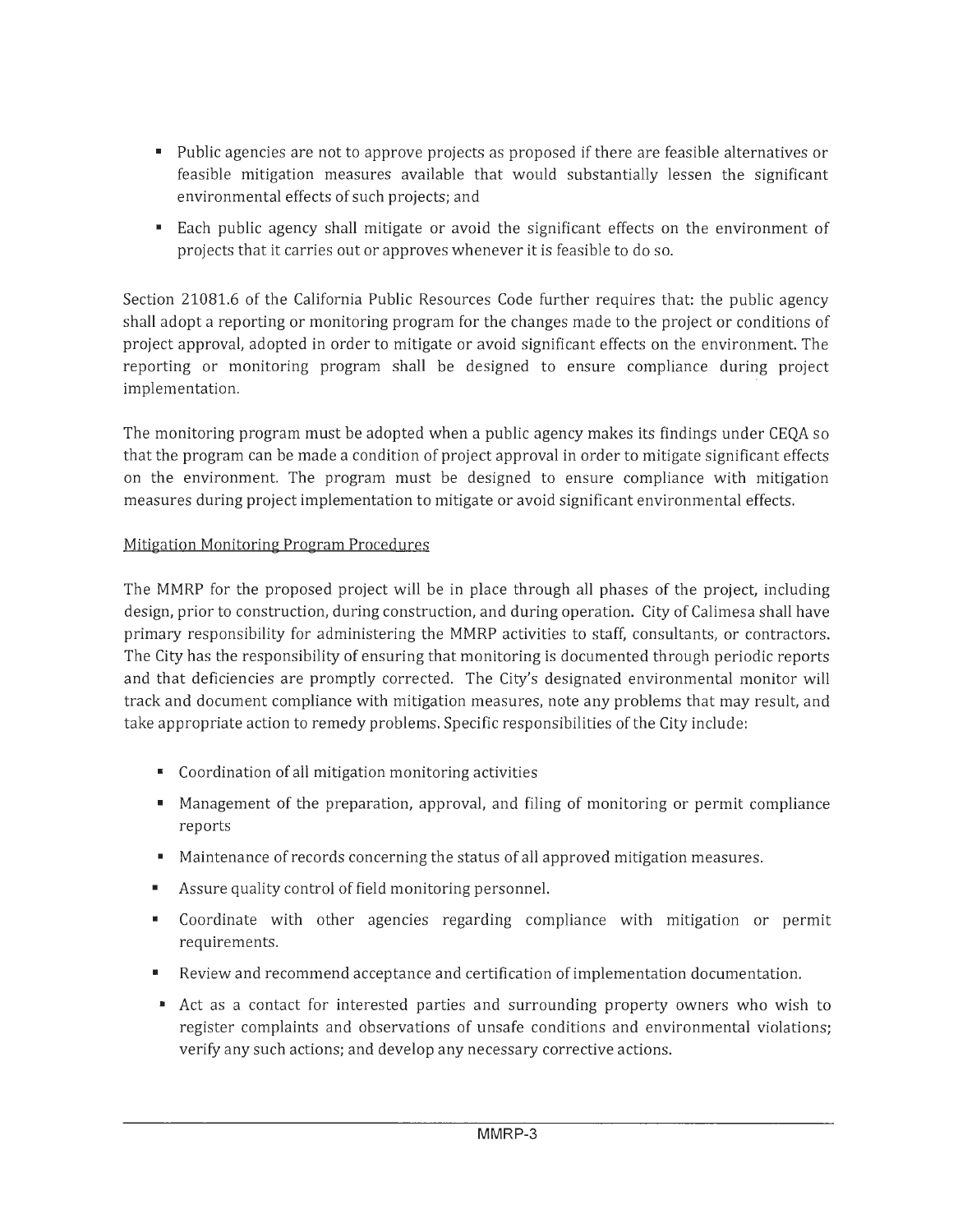- Public agencies are not to approve projects as proposed if there are feasible alternatives or feasible mitigation measures available that would substantially lessen the significant environmental effects of such projects; and
- Each public agency shall mitigate or avoid the significant effects on the environment of projects that it carries out or approves whenever it is feasible to do so.

Section 21081.6 of the California Public Resources Code further requires that: the public agency shall adopt a reporting or monitoring program for the changes made to the project or conditions of project approval, adopted in order to mitigate or avoid significant effects on the environment. The reporting or monitoring program shall be designed to ensure compliance during project implementation.

The monitoring program must be adopted when a public agency makes its findings under CEQA so that the program can be made a condition of project approval in order to mitigate significant effects on the environment. The program must be designed to ensure compliance with mitigation measures during project implementation to mitigate or avoid significant environmental effects.

#### Mitigation Monitoring Program Procedures

The MMRP for the proposed project will be in place through all phases of the project, including design, prior to construction, during construction, and during operation. City of Calimesa shall have primary responsibility for administering the MMRP activities to staff, consultants, or contractors. The City has the responsibility of ensuring that monitoring is documented through periodic reports and that deficiencies are promptly corrected. The City's designated environmental monitor will track and document compliance with mitigation measures, note any problems that may result, and take appropriate action to remedy problems. Specific responsibilities of the City include:

- Coordination of all mitigation monitoring activities
- Management of the preparation, approval, and filing of monitoring or permit compliance reports
- Maintenance of records concerning the status of all approved mitigation measures.
- Assure quality control of field monitoring personnel.
- Coordinate with other agencies regarding compliance with mitigation or permit requirements.
- Review and recommend acceptance and certification of implementation documentation.
- Act as a contact for interested parties and surrounding property owners who wish to register complaints and observations of unsafe conditions and environmental violations; verify any such actions; and develop any necessary corrective actions.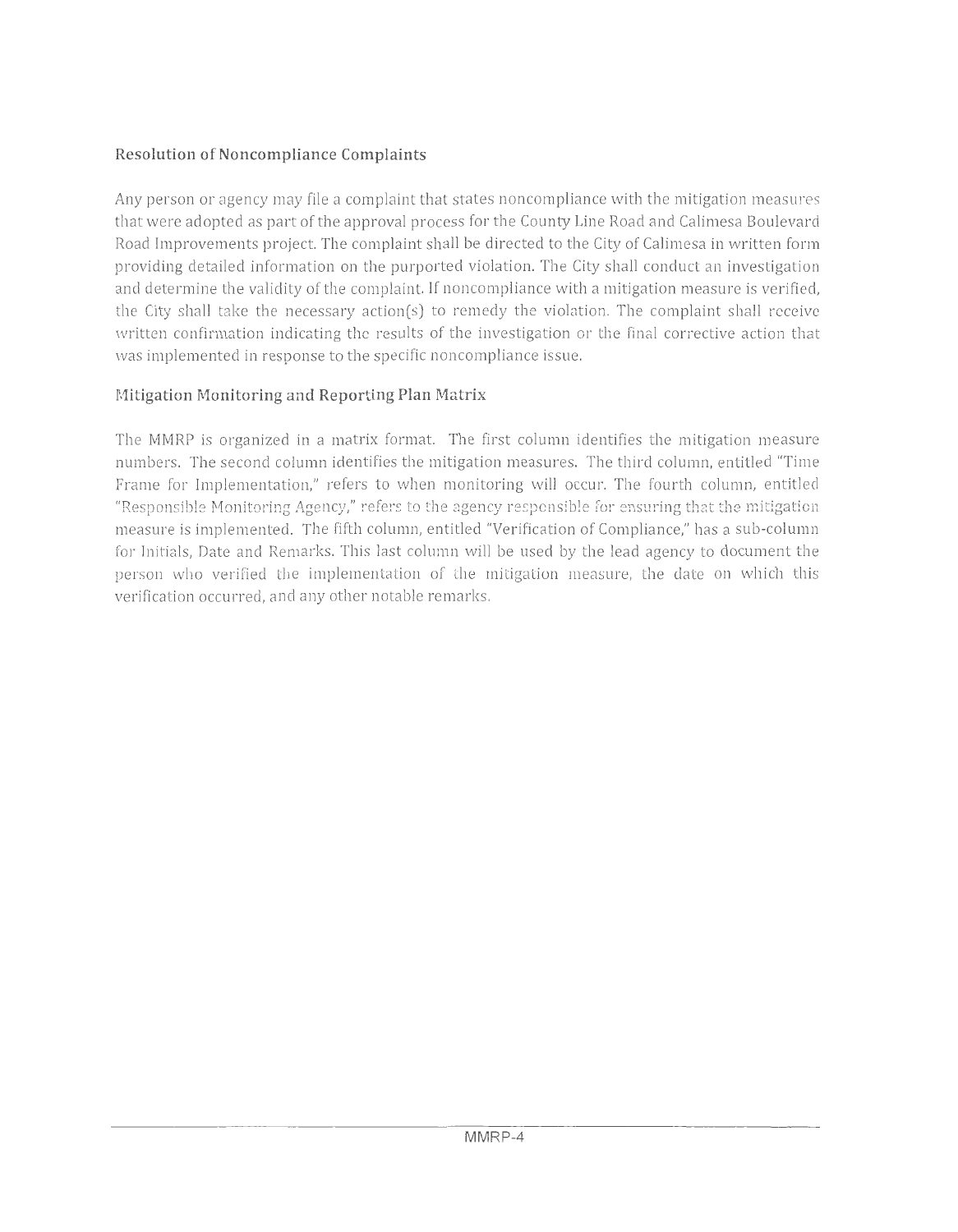### **Resolution of Noncompliance Complaints**

Any person or agency may file a complaint that states noncompliance with the mitigation measu res that were adopted as part of the approval process for the County Line Road and Calimesa Boulevard Road Improvements project. The complaint shall be directed to the City of Calimesa in written form providing detailed information on the purported violation. The City shall conduct an investigation and determine the validity of the complaint. If noncompliance with a mitigation measure is verified, the City shall take the necessary action(s) to remedy the violation. The complaint shall receive written confirmation indicating the results of the investigation or the final corrective action that was implemented in response to the specific noncompliance issue.

### **Mitigation Monitoring and Reporting Plan Matrix**

The MMRP is organized in a matrix format. The first column identifies the mitigation measure numbers. The second column identifies the mitigation measures. The third column, entitled "Time Frame for Implementation," refers to when monitoring will occur. The fourth column, entitled "Responsible Monitoring Agency," refers to the agency responsible for ensuring that the mitigation measure is implemented. The fifth column, entitled "Verification of Compliance," has a sub-column for Initials, Date and Remarks. This last column will be used by the lead agency to document the person who verified the implementation of the mitigation measure, the date on which this verification occurred, and any other notable remarks.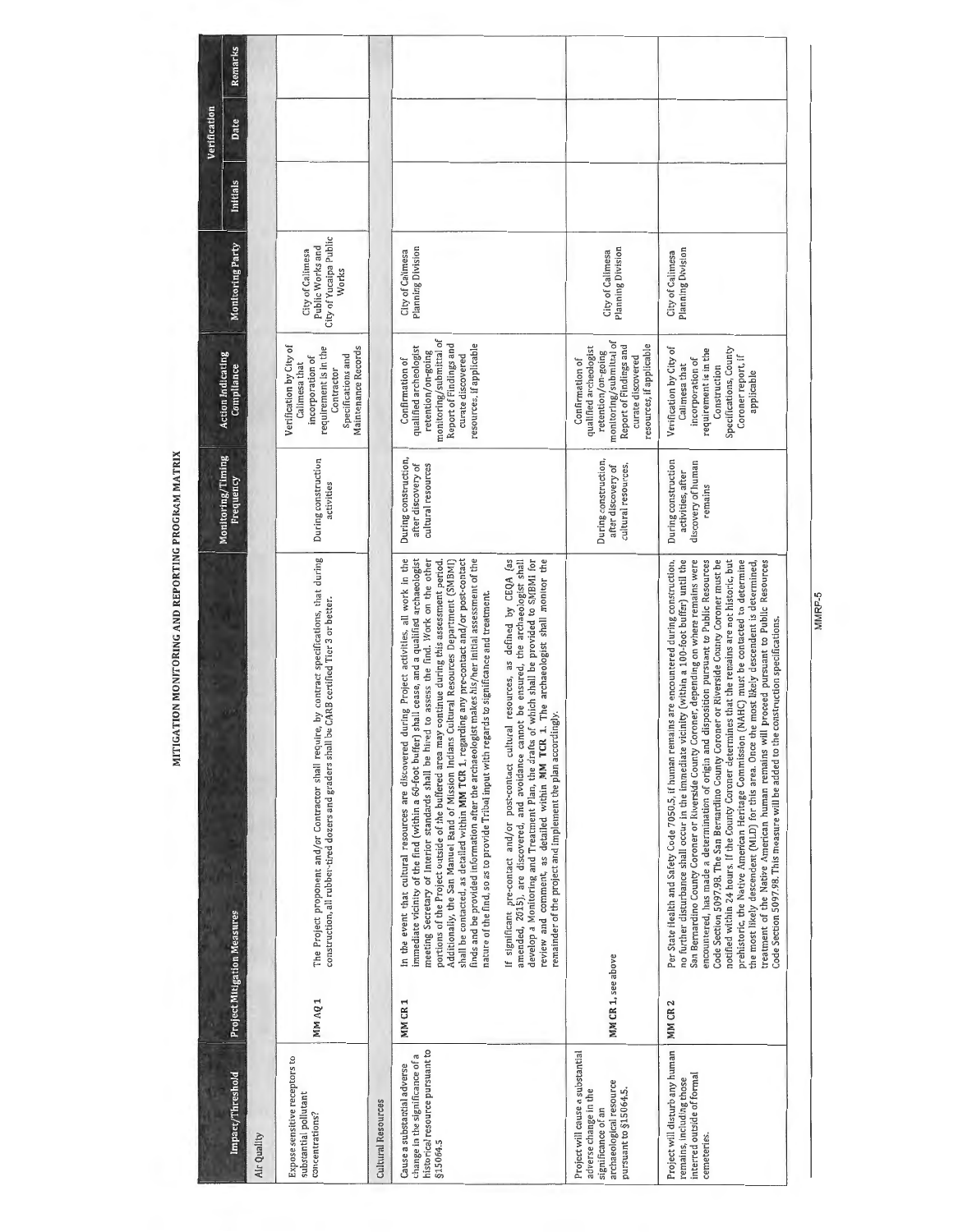|                                                                                                                                |                    |                                                                                                                                                                                                                                                                                                                                                                                                                                                                                                                                                                                                                                                                                                                                                                                                                                                                                                                                                                                           |                                                                           |                                                                                                                                                                       |                                                                         |                 | Verification |         |
|--------------------------------------------------------------------------------------------------------------------------------|--------------------|-------------------------------------------------------------------------------------------------------------------------------------------------------------------------------------------------------------------------------------------------------------------------------------------------------------------------------------------------------------------------------------------------------------------------------------------------------------------------------------------------------------------------------------------------------------------------------------------------------------------------------------------------------------------------------------------------------------------------------------------------------------------------------------------------------------------------------------------------------------------------------------------------------------------------------------------------------------------------------------------|---------------------------------------------------------------------------|-----------------------------------------------------------------------------------------------------------------------------------------------------------------------|-------------------------------------------------------------------------|-----------------|--------------|---------|
| Impact/Threshold                                                                                                               |                    | <b>Project Mitigation Measures</b>                                                                                                                                                                                                                                                                                                                                                                                                                                                                                                                                                                                                                                                                                                                                                                                                                                                                                                                                                        | Monitoring/Timing<br>Frequency                                            | <b>Action Indicating</b><br>Compliance                                                                                                                                | Monitoring Party                                                        | <b>Initials</b> | Date         | Remarks |
| AlleuQuilty                                                                                                                    |                    |                                                                                                                                                                                                                                                                                                                                                                                                                                                                                                                                                                                                                                                                                                                                                                                                                                                                                                                                                                                           |                                                                           |                                                                                                                                                                       |                                                                         |                 |              |         |
| xpose sensitive receptors to<br>ubstantial pollutant<br>:oncentrations?                                                        | MM AQ 1            | The Project proponent and/or Contractor shall require, by contract specifications, that during<br>construction, all rubber-tired dozers and graders shall be CARB certified Tier 3 or better.                                                                                                                                                                                                                                                                                                                                                                                                                                                                                                                                                                                                                                                                                                                                                                                             | During construction<br>activities                                         | Verification by City of<br>Maintenance Records<br>requirement is in the<br>Specifications and<br>incorporation of<br>Calimesa that<br>Contractor                      | City of Yucaipa Public<br>Public Works and<br>City of Calimesa<br>Works |                 |              |         |
| Mitural Resources                                                                                                              |                    |                                                                                                                                                                                                                                                                                                                                                                                                                                                                                                                                                                                                                                                                                                                                                                                                                                                                                                                                                                                           |                                                                           |                                                                                                                                                                       |                                                                         |                 |              |         |
| istorical resource pursuant to<br>hange in the significance of a<br>ause a substantial adverse<br>15064.5                      | MM CR 1            | shall cease, and a qualified archaeologist<br>during Project activities, all work in the<br>meeting Secretary of Interior standards shall be hired to assess the find. Work on the other<br>finds and be provided information after the archaeologist makes his/her initial assessment of the<br>shall be contacted, as detailed within MM TCR 1, regarding any pre-contact and/or post-contact<br>portions of the Project outside of the buffered area may continue during this assessment period.<br>Additionally, the San Manuel Band of Mission Indians Cultural Resources Department (SMBMI)<br>nature of the find, so as to provide Tribal input with regards to significance and treatment.<br>immediate vicinity of the find (within a 60-foot buffer)<br>In the event that cultural resources are discovered                                                                                                                                                                     | During construction,<br>after discovery of<br>cultural resources          | monitoring/submittal of<br>Report of Findings and<br>resources, if applicable<br>qualified archeologist<br>retention/on-going<br>curate discovered<br>Confirmation of | Planning Division<br>City of Calimesa                                   |                 |              |         |
|                                                                                                                                |                    | amended, 2015), are discovered, and avoidance cannot be ensured, the archaeologist shall<br>develop a Monitoring and Treatment Plan, the drafts of which shall be provided to SMBMI for<br>If significant pre-contact and/or post-contact cultural resources, as defined by CEQA (as<br>review and comment, as detailed within MM TCR 1. The archaeologist shall monitor the<br>remainder of the project and implement the plan accordingly.                                                                                                                                                                                                                                                                                                                                                                                                                                                                                                                                              |                                                                           |                                                                                                                                                                       |                                                                         |                 |              |         |
| roject will cause a substantial<br>rchaeological resource<br>ursuant to §15064.5.<br>dverse change in the<br>ignificance of an | MM CR 1, see above |                                                                                                                                                                                                                                                                                                                                                                                                                                                                                                                                                                                                                                                                                                                                                                                                                                                                                                                                                                                           | During construction,<br>cultural resources.<br>after discovery of         | monitoring/submittal of<br>resources, if applicable<br>Report of Findings and<br>qualified archeologist<br>retention/on-going<br>curate discovered<br>Confirmation of | <b>Planning Division</b><br>City of Calimesa                            |                 |              |         |
| roject will disturb any human<br>iterred outside of formal<br>emains, including those<br>emeteries.                            | MM CR 2            | Per State Health and Safety Code 7050.5, if human remains are encountered during construction,<br>San Bernardino County Coroner or Riverside County Coroner, depending on where remains were<br>Code Section 5097.98. The San Bernardino County Coroner or Riverside County Coroner must be<br>no further disturbance shall occur in the immediate vicinity (within a 100-foot buffer) until the<br>encountered, has made a determination of origin and disposition pursuant to Public Resources<br>notified within 24 hours. If the County Coroner determines that the remains are not historic, but<br>prehistoric, the Native American Heritage Commission (NAHC) must be contacted to determine<br>treatment of the Native American human remains will proceed pursuant to Public Resources<br>the most likely descendent (MLD) for this area. Once the most likely descendent is determined,<br>Code Section 5097.98. This measure will be added to the construction specifications. | During construction<br>discovery of human<br>activities, after<br>remains | Verification by City of<br>Specifications, County<br>requirement is in the<br>Coroner report, if<br>incorporation of<br>Calimesa that<br>Construction<br>applicable   | <b>Planning Division</b><br>City of Calimesa                            |                 |              |         |

MITIGATION MONITORING AND REPORTING PROGRAM MATRIX

MMRP-5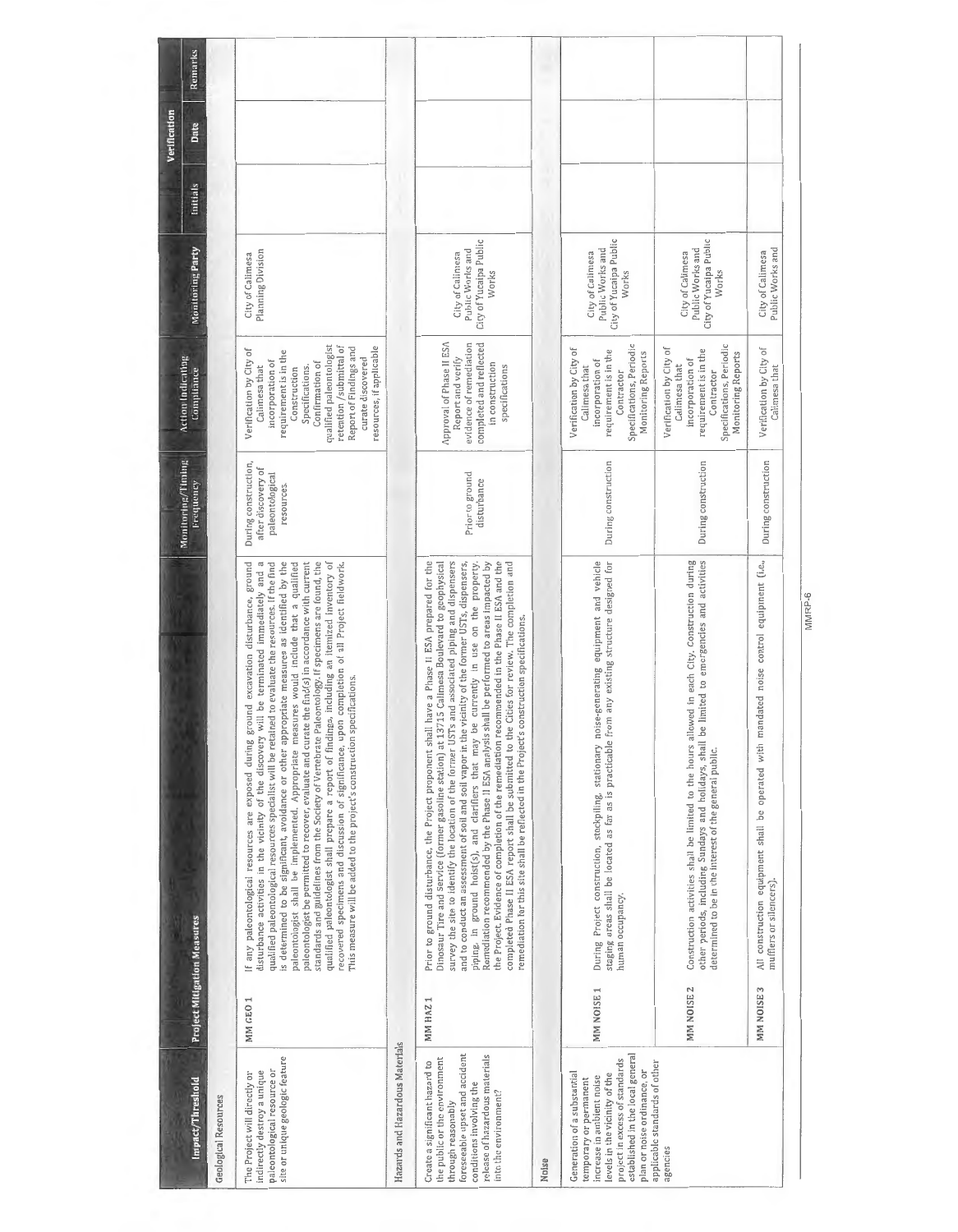| Remarks<br>Verification<br>Date<br><b>Initials</b><br>Monitoring Party<br><b>Action Indicating</b><br>Compliance<br>Monitoring/Timing<br>Frequency |                      | Planning Division<br>City of Calimesa<br>qualified paleontologist<br>retention /submittal of<br>resources, if applicable<br>Report of Findings and<br>Verification by City of<br>requirement is in the<br>curate discovered<br>incorporation of<br>Confirmation of<br>Calimesa that<br>Specifications.<br>Construction<br>During construction,<br>after discovery of<br>paleontological<br>resources.<br>will be terminated immediately and a<br>standards and guidelines from the Society of Vertebrate Paleontology. If specimens are found, the<br>If any paleontological resources are exposed during ground excavation disturbance, ground<br>qualified paleontological resources specialist will be retained to evaluate the resources. If the find<br>is determined to be significant, avoidance or other appropriate measures as identified by the<br>paleontologist be permitted to recover, evaluate and curate the find(s) in accordance with current<br>qualified paleontologist shall prepare a report of findings, including an itemized inventory of<br>paleontologist shall be implemented. Appropriate measures would include that a qualified<br>recovered specimens and discussion of significance, upon completion of all Project fieldwork.<br>This measure will be added to the project's construction specifications.<br>disturbance activities in the vicinity of the discovery |                                 | City of Yucaipa Public<br>Public Works and<br>City of Caliniesa<br>Works<br>completed and reflected<br>Approval of Phase II ESA<br>evidence of remediation<br>Report and verify<br>in construction<br>specifications<br>Prior to ground<br>disturbance<br>the Project. Evidence of completion of the remediation recommended in the Phase II ESA and the<br>piping, in ground hoist(s), and clarifiers that may be currently in use on the property.<br>Remediation recommended by the Phase II ESA analysis shall be performed to areas impacted by<br>completed Phase II ESA report shall be submitted to the Cities for review. The completion and<br>Prior to ground disturbance, the Project proponent shall have a Phase II ESA prepared for the<br>Dinosaur Tire and Service (former gasoline station) at 13715 Calimesa Boulevard to geophysical<br>survey the site to identify the location of the former USTs and associated piping and dispensers<br>and to conduct an assessment of soil and soil vapor in the vicinity of the former USTs, dispensers,<br>remediation for this site shall be reflected in the Project's construction specifications. |       | City of Yucaipa Public<br>Public Works and<br>City of Calimesa<br>Works<br>Specifications, Periodic<br>Verification by City of<br>requirement is in the<br>Monitoring Reports<br>incorporation of<br>Calimesa that<br>Contractor<br>During construction<br>staging areas shall be located as far as is practicable from any existing structure designed for<br>During Project construction, stockpiling, stationary noise-generating equipment and vehicle | City of Yucaipa Public<br>Public Works and<br>City of Calimesa<br>Works<br>Specifications, Periodic<br>Verification by City of<br>requirement is in the<br>Monitoring Reports<br>incorporation of<br>Calimesa that<br>Contractor<br>During construction<br>Construction activities shall be limited to the hours allowed in each City. Construction during<br>other periods, including Sundays and holidays, shall be limited to emergencies and activities<br>determined to be in the interest | Public Works and<br>City of Calimesa<br>Verification by City of<br>Calimesa that<br>During construction<br>All construction equipment shall be operated with mandated noise control equipment (i.e., |
|----------------------------------------------------------------------------------------------------------------------------------------------------|----------------------|---------------------------------------------------------------------------------------------------------------------------------------------------------------------------------------------------------------------------------------------------------------------------------------------------------------------------------------------------------------------------------------------------------------------------------------------------------------------------------------------------------------------------------------------------------------------------------------------------------------------------------------------------------------------------------------------------------------------------------------------------------------------------------------------------------------------------------------------------------------------------------------------------------------------------------------------------------------------------------------------------------------------------------------------------------------------------------------------------------------------------------------------------------------------------------------------------------------------------------------------------------------------------------------------------------------------------------------------------------------------------------------------------------|---------------------------------|-------------------------------------------------------------------------------------------------------------------------------------------------------------------------------------------------------------------------------------------------------------------------------------------------------------------------------------------------------------------------------------------------------------------------------------------------------------------------------------------------------------------------------------------------------------------------------------------------------------------------------------------------------------------------------------------------------------------------------------------------------------------------------------------------------------------------------------------------------------------------------------------------------------------------------------------------------------------------------------------------------------------------------------------------------------------------------------------------------------------------------------------------------------------|-------|------------------------------------------------------------------------------------------------------------------------------------------------------------------------------------------------------------------------------------------------------------------------------------------------------------------------------------------------------------------------------------------------------------------------------------------------------------|-------------------------------------------------------------------------------------------------------------------------------------------------------------------------------------------------------------------------------------------------------------------------------------------------------------------------------------------------------------------------------------------------------------------------------------------------------------------------------------------------|------------------------------------------------------------------------------------------------------------------------------------------------------------------------------------------------------|
|                                                                                                                                                    |                      |                                                                                                                                                                                                                                                                                                                                                                                                                                                                                                                                                                                                                                                                                                                                                                                                                                                                                                                                                                                                                                                                                                                                                                                                                                                                                                                                                                                                         |                                 |                                                                                                                                                                                                                                                                                                                                                                                                                                                                                                                                                                                                                                                                                                                                                                                                                                                                                                                                                                                                                                                                                                                                                                   |       | human occupancy.                                                                                                                                                                                                                                                                                                                                                                                                                                           |                                                                                                                                                                                                                                                                                                                                                                                                                                                                                                 | mufflers or silencers).                                                                                                                                                                              |
| <b>Project Mitigation Measures</b>                                                                                                                 |                      | MM GEO 1                                                                                                                                                                                                                                                                                                                                                                                                                                                                                                                                                                                                                                                                                                                                                                                                                                                                                                                                                                                                                                                                                                                                                                                                                                                                                                                                                                                                |                                 | MM HAZ 1                                                                                                                                                                                                                                                                                                                                                                                                                                                                                                                                                                                                                                                                                                                                                                                                                                                                                                                                                                                                                                                                                                                                                          |       | MM NOISE 1                                                                                                                                                                                                                                                                                                                                                                                                                                                 | MM NOISE <sub>2</sub>                                                                                                                                                                                                                                                                                                                                                                                                                                                                           | MM NOISE 3                                                                                                                                                                                           |
| Impact/Threshold                                                                                                                                   | Geological Resources | site or unique geologic feature<br>paleontological resource or<br>indirectly destroy a unique<br>The Project will directly or                                                                                                                                                                                                                                                                                                                                                                                                                                                                                                                                                                                                                                                                                                                                                                                                                                                                                                                                                                                                                                                                                                                                                                                                                                                                           | Hazards and Hazardous Materials | foreseeable upset and accident<br>release of hazardous materials<br>the public or the environment<br>Create a significant hazard to<br>conditions involving the<br>into the environment?<br>through reasonably                                                                                                                                                                                                                                                                                                                                                                                                                                                                                                                                                                                                                                                                                                                                                                                                                                                                                                                                                    | Noise | established in the local general<br>project in excess of standards<br>plan or noise ordinance, or<br>Generation of a substantial<br>levels in the vicinity of the<br>increase in ambient noise<br>temporary or permanent                                                                                                                                                                                                                                   | applicable standards of other<br>agencies                                                                                                                                                                                                                                                                                                                                                                                                                                                       |                                                                                                                                                                                                      |

MMRP-6 MMRP-6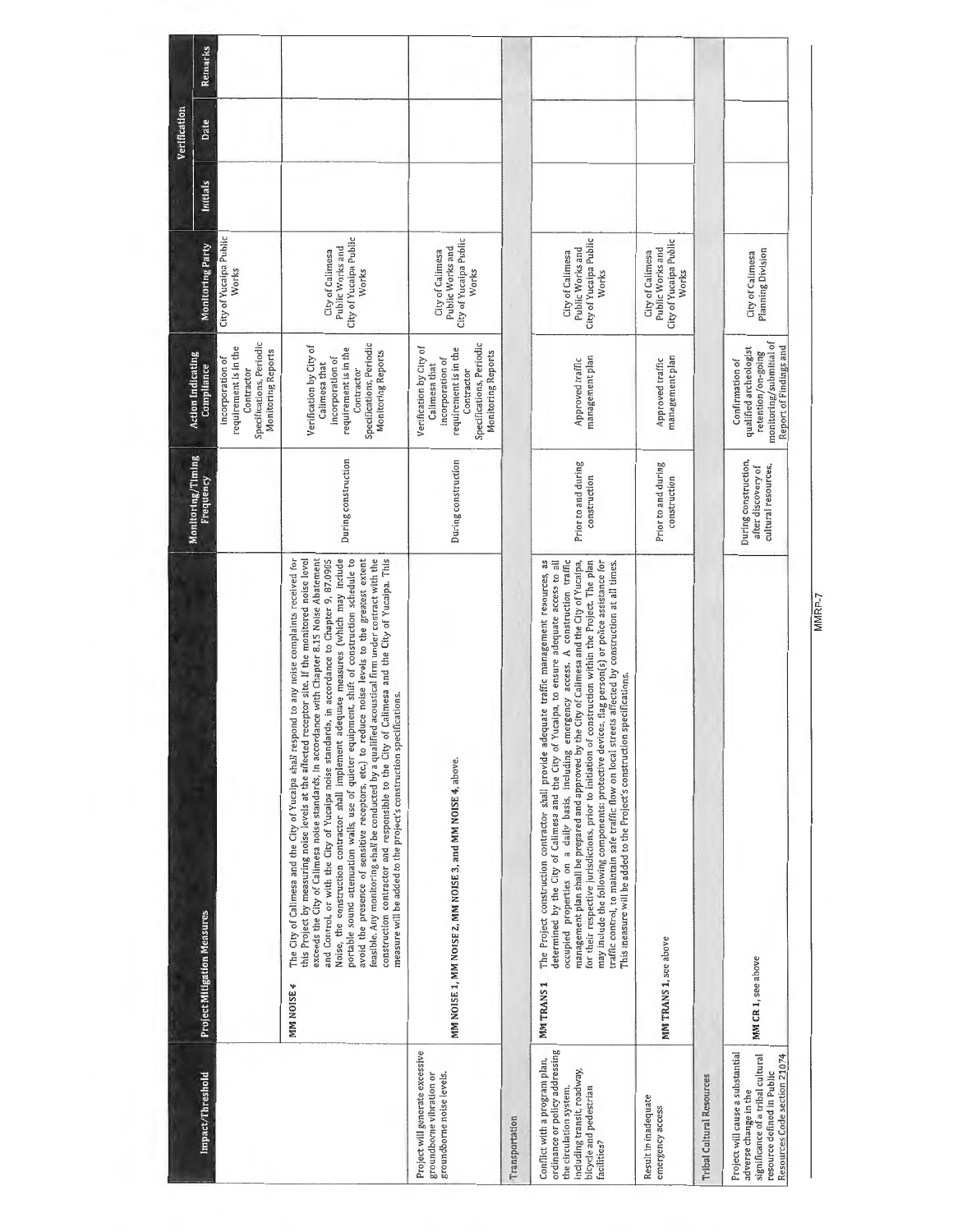|                                                                                                                                                                    |                                                                                                                                                                                                                                                                                                                                                                                                                                                                                                                                                                                                                                                                                                                                                                                                                                                                                                                                                                                                   |                                                                   |                                                                                                                                                       |                                                                         |          | Verification |         |
|--------------------------------------------------------------------------------------------------------------------------------------------------------------------|---------------------------------------------------------------------------------------------------------------------------------------------------------------------------------------------------------------------------------------------------------------------------------------------------------------------------------------------------------------------------------------------------------------------------------------------------------------------------------------------------------------------------------------------------------------------------------------------------------------------------------------------------------------------------------------------------------------------------------------------------------------------------------------------------------------------------------------------------------------------------------------------------------------------------------------------------------------------------------------------------|-------------------------------------------------------------------|-------------------------------------------------------------------------------------------------------------------------------------------------------|-------------------------------------------------------------------------|----------|--------------|---------|
| Impact/Threshold                                                                                                                                                   | <b>Project Mitigation Measures</b>                                                                                                                                                                                                                                                                                                                                                                                                                                                                                                                                                                                                                                                                                                                                                                                                                                                                                                                                                                | Monitoring/Timing<br>Frequency                                    | <b>Action Indicating</b><br>Compliance                                                                                                                | Monitoring Party                                                        | Initials | Date         | Remarks |
|                                                                                                                                                                    |                                                                                                                                                                                                                                                                                                                                                                                                                                                                                                                                                                                                                                                                                                                                                                                                                                                                                                                                                                                                   |                                                                   | Specifications, Periodic<br>requirement is in the<br><b>Monitoring Reports</b><br>incorporation of<br>Contractor                                      | City of Yucaipa Public<br>Works                                         |          |              |         |
|                                                                                                                                                                    | Noise, the construction contractor shall implement adequate measures (which may include<br>portable sound attenuation walls, use of quieter equipment, shift of construction schedule to<br>exceeds the City of Calimesa noise standards, in accordance with Chapter 8.15 Noise Abatement<br>and Control, or with the City of Yucaipa noise standards, in accordance to Chapter 9, 87.0905<br>avoid the presence of sensitive receptors, etc.) to reduce noise levels to the greatest extent<br>feasible. Any monitoring shall be conducted by a qualified acoustical firm under contract with the<br>construction contractor and responsible to the City of Calimesa and the City of Yucaipa. This<br>The City of Calimesa and the City of Yucaipa shall respond to any noise complaints received for<br>this Project by measuring noise levels at the affected receptor site. If the monitored noise level<br>measure will be added to the project's construction specifications.<br>MM NOISE 4 | During construction                                               | Specifications, Periodic<br>Verification by City of<br>requirement is in the<br>Monitoring Reports<br>incorporation of<br>Calimesa that<br>Contractor | City of Yucaipa Public<br>Public Works and<br>City of Calimesa<br>Works |          |              |         |
| Project will generate excessive<br>groundborne vibration or<br>groundborne noise levels.                                                                           | MM NOISE 1, MM NOISE 2, MM NOISE 3, and MM NOISE 4, above.                                                                                                                                                                                                                                                                                                                                                                                                                                                                                                                                                                                                                                                                                                                                                                                                                                                                                                                                        | During construction                                               | Specifications, Periodic<br>Verification by City of<br>requirement is in the<br>Monitoring Reports<br>incorporation of<br>Calimesa that<br>Contractor | City of Yucaipa Public<br>Public Works and<br>City of Calimesa<br>Works |          |              |         |
| Transportation                                                                                                                                                     |                                                                                                                                                                                                                                                                                                                                                                                                                                                                                                                                                                                                                                                                                                                                                                                                                                                                                                                                                                                                   |                                                                   |                                                                                                                                                       |                                                                         |          |              |         |
| ordinance or policy addressing<br>Conflict with a program plan,<br>including transit, roadway,<br>bicycle and pedestrian<br>the circulation system,<br>facilities? | occupied properties on a daily basis, including emergency access. A construction traffic<br>for their respective jurisdictions, prior to initiation of construction within the Project. The plan<br>The Project construction contractor shall provide adequate traffic management resources, as<br>management plan shall be prepared and approved by the City of Calimesa and the City of Yucaipa,<br>determined by the City of Calimesa and the City of Yucaipa, to ensure adequate access to all<br>may include the following components: protective devices, flag person(s) or police assistance for<br>traffic control, to maintain safe traffic flow on local streets affected by construction at all times.<br>This measure will be added to the Project's construction specifications.<br>MMTRANS <sub>1</sub>                                                                                                                                                                             | Prior to and during<br>construction                               | management plan<br>Approved traffic                                                                                                                   | City of Yucaipa Public<br>Public Works and<br>City of Calimesa<br>Works |          |              |         |
| Result in inadequate<br>emergency access                                                                                                                           | MM TRANS 1, see above                                                                                                                                                                                                                                                                                                                                                                                                                                                                                                                                                                                                                                                                                                                                                                                                                                                                                                                                                                             | Prior to and during<br>construction                               | management plan<br>Approved traffic                                                                                                                   | City of Yucaipa Public<br>Public Works and<br>City of Calimesa<br>Works |          |              |         |
| Tribal Cultural Resources                                                                                                                                          |                                                                                                                                                                                                                                                                                                                                                                                                                                                                                                                                                                                                                                                                                                                                                                                                                                                                                                                                                                                                   |                                                                   |                                                                                                                                                       |                                                                         |          |              |         |
| Project will cause a substantial<br>significance of a tribal cultural<br>Resources Code section 21074<br>resource defined in Public<br>adverse change in the       | MM CR 1, see above                                                                                                                                                                                                                                                                                                                                                                                                                                                                                                                                                                                                                                                                                                                                                                                                                                                                                                                                                                                | During construction,<br>after discovery of<br>cultural resources. | monitoring/submittal of<br>Report of Findings and<br>qualified archeologist<br>retention/on-going<br>Confirmation of                                  | <b>Planning Division</b><br>City of Calimesa                            |          |              |         |
|                                                                                                                                                                    |                                                                                                                                                                                                                                                                                                                                                                                                                                                                                                                                                                                                                                                                                                                                                                                                                                                                                                                                                                                                   |                                                                   |                                                                                                                                                       |                                                                         |          |              |         |

MMRP-7 MMRP-7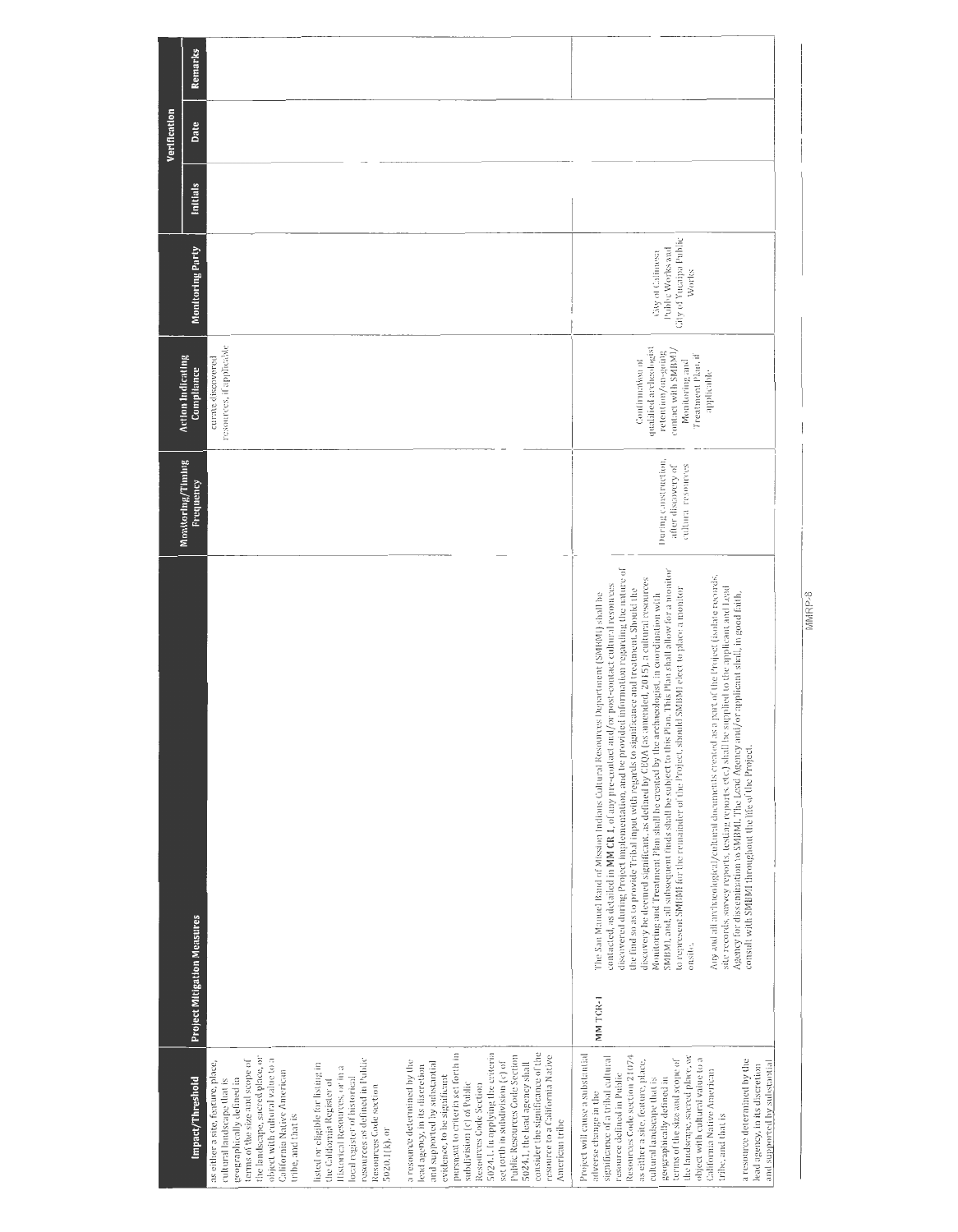|                                                                                                                                                                                                                                                                                                                                                                                                                                                                                                                            |                                                                                                                                                                                                                                                                                                                                                                                                                                                                                                                                                                                                                                                                                                                                                                                                                                                                                                                                                                                                                                                                                                                                                                                    |                                                                 |                                                                                                                                              |                                                                                |          | Verification |         |
|----------------------------------------------------------------------------------------------------------------------------------------------------------------------------------------------------------------------------------------------------------------------------------------------------------------------------------------------------------------------------------------------------------------------------------------------------------------------------------------------------------------------------|------------------------------------------------------------------------------------------------------------------------------------------------------------------------------------------------------------------------------------------------------------------------------------------------------------------------------------------------------------------------------------------------------------------------------------------------------------------------------------------------------------------------------------------------------------------------------------------------------------------------------------------------------------------------------------------------------------------------------------------------------------------------------------------------------------------------------------------------------------------------------------------------------------------------------------------------------------------------------------------------------------------------------------------------------------------------------------------------------------------------------------------------------------------------------------|-----------------------------------------------------------------|----------------------------------------------------------------------------------------------------------------------------------------------|--------------------------------------------------------------------------------|----------|--------------|---------|
| Impact/Threshold                                                                                                                                                                                                                                                                                                                                                                                                                                                                                                           | <b>Project Mitigation Measures</b>                                                                                                                                                                                                                                                                                                                                                                                                                                                                                                                                                                                                                                                                                                                                                                                                                                                                                                                                                                                                                                                                                                                                                 | Monitoring/Timing<br><b>Frequency</b>                           | <b>Action Indicating</b><br>Compliance                                                                                                       | Monitoring Party                                                               | Initials | Date         | Remarks |
| the landscape, sacred place, or<br>object with cultural value to a<br>terms of the size and scope of<br>as either a site, feature, place,<br>California Native American<br>cultural landscape that is<br>geographically defined in<br>tribe, and that is                                                                                                                                                                                                                                                                   |                                                                                                                                                                                                                                                                                                                                                                                                                                                                                                                                                                                                                                                                                                                                                                                                                                                                                                                                                                                                                                                                                                                                                                                    |                                                                 | resources, if applicable<br>curate discovered                                                                                                |                                                                                |          |              |         |
| resources as defined in Public<br>listed or eligible for listing in<br>Historical Resources, or in a<br>local register of historical<br>the California Register of<br>Resources Code section<br>5020.1(k), or                                                                                                                                                                                                                                                                                                              |                                                                                                                                                                                                                                                                                                                                                                                                                                                                                                                                                                                                                                                                                                                                                                                                                                                                                                                                                                                                                                                                                                                                                                                    |                                                                 |                                                                                                                                              |                                                                                |          |              |         |
| pursuant to criteria set forth in<br>5024.1. In applying the criteria<br>consider the significance of the<br>Public Resources Code Section<br>resource to a California Native<br>a resource determined by the<br>set torth in subdivision (c) of<br>and supported by substantial<br>5024.1, the lead agency shall<br>lead agency, in its discretion<br>evidence, to be significant<br>subdivision (c) of Public<br>Resources Code Section<br>American tribe                                                                |                                                                                                                                                                                                                                                                                                                                                                                                                                                                                                                                                                                                                                                                                                                                                                                                                                                                                                                                                                                                                                                                                                                                                                                    |                                                                 |                                                                                                                                              |                                                                                |          |              |         |
| Project will cause a substantial<br>Resources Code section 21074<br>the landscape, sacred place, or<br>significance of a tribal cultural<br>object with cultural value to a<br>terms of the size and scope of<br>as either a site, feature, place,<br>a resource determined by the<br>and supported by substantial<br>lead agency, in its discretion<br>California Native American<br>resource defined in Public<br>cultural landscape that is<br>geographically defined in<br>adverse change in the<br>tribe, and that is | discovered during Project implementation, and be provided information regarding the nature of<br>SMBML and, all subsequent finds shall be subject to this Plan. This Plan shall allow for a monitor<br>Any and all archaeological/cultural documents created as a part of the Project (isolate records,<br>discovery be deemed significant, as defined by CEQA (as amended, 2015), a cultural resources<br>contacted, as detailed in MM CR 1, of any pre-contact and/or post-contact cultural resources<br>to represent SMBMI for the remainder of the Project, should SMBMI elect to place a monitor<br>site records, survey reports, testing reports, etc.) shall be supplied to the applicant and Lead<br>the find so as to provide Tribal input with regards to significance and treatment. Should the<br>Monitoring and Treatment Plan shall be created by the archaeologist, in coordination with<br>/or applicant shall, in good faith,<br>The San Manuel Band of Mission Indians Cultural Resources Department (SMBMI) shall be<br>Agency for dissemination to SMBMI. The Lead Agency and<br>consult with SMBMI throughout the life of the Project.<br>onsite.<br>MM TCR-1 | During construction,<br>after discovery of<br>cultura resources | qualified archeologist<br>contact with SMBM1/<br>retention/on-going<br>Freatment Plan, if<br>Confirmation of<br>Monitoring and<br>applicable | <b>Gity of Yucaipa Public</b><br>Public Works and<br>City of Calimesa<br>Works |          |              |         |

MMRP-8 MMRP-8